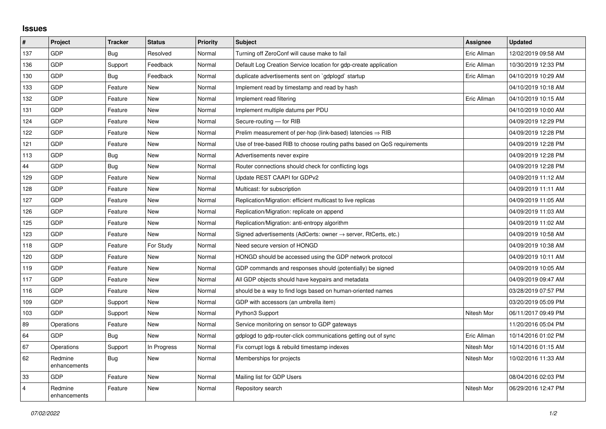## **Issues**

| $\sharp$       | <b>Project</b>          | <b>Tracker</b> | <b>Status</b> | <b>Priority</b> | <b>Subject</b>                                                             | Assignee    | <b>Updated</b>      |
|----------------|-------------------------|----------------|---------------|-----------------|----------------------------------------------------------------------------|-------------|---------------------|
| 137            | GDP                     | Bug            | Resolved      | Normal          | Turning off ZeroConf will cause make to fail                               | Eric Allman | 12/02/2019 09:58 AM |
| 136            | <b>GDP</b>              | Support        | Feedback      | Normal          | Default Log Creation Service location for gdp-create application           | Eric Allman | 10/30/2019 12:33 PM |
| 130            | <b>GDP</b>              | Bug            | Feedback      | Normal          | duplicate advertisements sent on `gdplogd` startup                         | Eric Allman | 04/10/2019 10:29 AM |
| 133            | GDP                     | Feature        | <b>New</b>    | Normal          | Implement read by timestamp and read by hash                               |             | 04/10/2019 10:18 AM |
| 132            | <b>GDP</b>              | Feature        | <b>New</b>    | Normal          | Implement read filtering                                                   | Eric Allman | 04/10/2019 10:15 AM |
| 131            | GDP                     | Feature        | <b>New</b>    | Normal          | Implement multiple datums per PDU                                          |             | 04/10/2019 10:00 AM |
| 124            | GDP                     | Feature        | <b>New</b>    | Normal          | Secure-routing - for RIB                                                   |             | 04/09/2019 12:29 PM |
| 122            | <b>GDP</b>              | Feature        | New           | Normal          | Prelim measurement of per-hop (link-based) latencies $\Rightarrow$ RIB     |             | 04/09/2019 12:28 PM |
| 121            | <b>GDP</b>              | Feature        | <b>New</b>    | Normal          | Use of tree-based RIB to choose routing paths based on QoS requirements    |             | 04/09/2019 12:28 PM |
| 113            | GDP                     | <b>Bug</b>     | <b>New</b>    | Normal          | Advertisements never expire                                                |             | 04/09/2019 12:28 PM |
| 44             | <b>GDP</b>              | Bug            | <b>New</b>    | Normal          | Router connections should check for conflicting logs                       |             | 04/09/2019 12:28 PM |
| 129            | GDP                     | Feature        | <b>New</b>    | Normal          | Update REST CAAPI for GDPv2                                                |             | 04/09/2019 11:12 AM |
| 128            | <b>GDP</b>              | Feature        | <b>New</b>    | Normal          | Multicast: for subscription                                                |             | 04/09/2019 11:11 AM |
| 127            | <b>GDP</b>              | Feature        | <b>New</b>    | Normal          | Replication/Migration: efficient multicast to live replicas                |             | 04/09/2019 11:05 AM |
| 126            | <b>GDP</b>              | Feature        | <b>New</b>    | Normal          | Replication/Migration: replicate on append                                 |             | 04/09/2019 11:03 AM |
| 125            | <b>GDP</b>              | Feature        | <b>New</b>    | Normal          | Replication/Migration: anti-entropy algorithm                              |             | 04/09/2019 11:02 AM |
| 123            | <b>GDP</b>              | Feature        | <b>New</b>    | Normal          | Signed advertisements (AdCerts: owner $\rightarrow$ server, RtCerts, etc.) |             | 04/09/2019 10:58 AM |
| 118            | <b>GDP</b>              | Feature        | For Study     | Normal          | Need secure version of HONGD                                               |             | 04/09/2019 10:38 AM |
| 120            | <b>GDP</b>              | Feature        | <b>New</b>    | Normal          | HONGD should be accessed using the GDP network protocol                    |             | 04/09/2019 10:11 AM |
| 119            | <b>GDP</b>              | Feature        | <b>New</b>    | Normal          | GDP commands and responses should (potentially) be signed                  |             | 04/09/2019 10:05 AM |
| 117            | <b>GDP</b>              | Feature        | <b>New</b>    | Normal          | All GDP objects should have keypairs and metadata                          |             | 04/09/2019 09:47 AM |
| 116            | GDP                     | Feature        | <b>New</b>    | Normal          | should be a way to find logs based on human-oriented names                 |             | 03/28/2019 07:57 PM |
| 109            | <b>GDP</b>              | Support        | <b>New</b>    | Normal          | GDP with accessors (an umbrella item)                                      |             | 03/20/2019 05:09 PM |
| 103            | GDP                     | Support        | New           | Normal          | Python3 Support                                                            | Nitesh Mor  | 06/11/2017 09:49 PM |
| 89             | Operations              | Feature        | <b>New</b>    | Normal          | Service monitoring on sensor to GDP gateways                               |             | 11/20/2016 05:04 PM |
| 64             | GDP                     | Bug            | <b>New</b>    | Normal          | gdplogd to gdp-router-click communications getting out of sync             | Eric Allman | 10/14/2016 01:02 PM |
| 67             | Operations              | Support        | In Progress   | Normal          | Fix corrupt logs & rebuild timestamp indexes                               | Nitesh Mor  | 10/14/2016 01:15 AM |
| 62             | Redmine<br>enhancements | Bug            | <b>New</b>    | Normal          | Memberships for projects                                                   | Nitesh Mor  | 10/02/2016 11:33 AM |
| 33             | <b>GDP</b>              | Feature        | <b>New</b>    | Normal          | Mailing list for GDP Users                                                 |             | 08/04/2016 02:03 PM |
| $\overline{4}$ | Redmine<br>enhancements | Feature        | <b>New</b>    | Normal          | Repository search                                                          | Nitesh Mor  | 06/29/2016 12:47 PM |